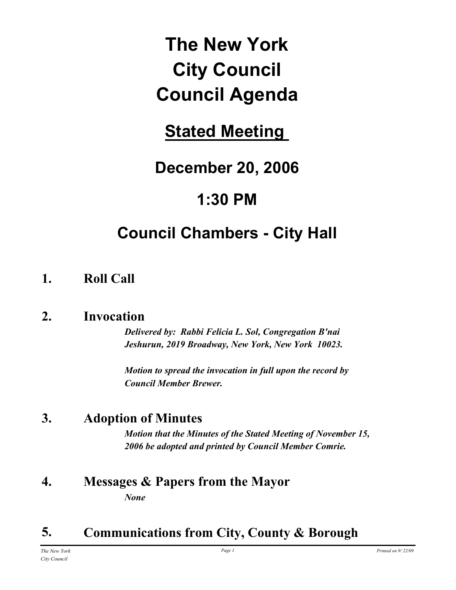# **The New York City Council Council Agenda**

## **Stated Meeting**

## **December 20, 2006**

## **1:30 PM**

## **Council Chambers - City Hall**

## **1. Roll Call**

## **2. Invocation**

*Delivered by: Rabbi Felicia L. Sol, Congregation B'nai Jeshurun, 2019 Broadway, New York, New York 10023.*

*Motion to spread the invocation in full upon the record by Council Member Brewer.*

## **3. Adoption of Minutes**

*Motion that the Minutes of the Stated Meeting of November 15, 2006 be adopted and printed by Council Member Comrie.*

### **4. Messages & Papers from the Mayor** *None*

## **5. Communications from City, County & Borough**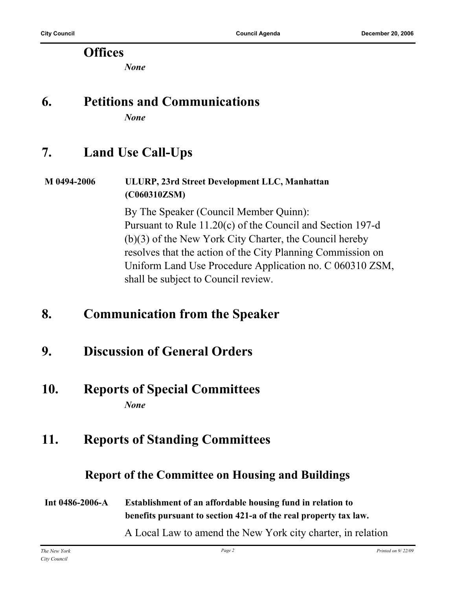#### **Offices**

*None*

## **6. Petitions and Communications**

*None*

## **7. Land Use Call-Ups**

#### **M 0494-2006 ULURP, 23rd Street Development LLC, Manhattan (C060310ZSM)**

By The Speaker (Council Member Quinn): Pursuant to Rule 11.20(c) of the Council and Section 197-d (b)(3) of the New York City Charter, the Council hereby resolves that the action of the City Planning Commission on Uniform Land Use Procedure Application no. C 060310 ZSM, shall be subject to Council review.

## **8. Communication from the Speaker**

## **9. Discussion of General Orders**

#### **10. Reports of Special Committees** *None*

## **11. Reports of Standing Committees**

#### **Report of the Committee on Housing and Buildings**

#### **Int 0486-2006-A Establishment of an affordable housing fund in relation to benefits pursuant to section 421-a of the real property tax law.**

A Local Law to amend the New York city charter, in relation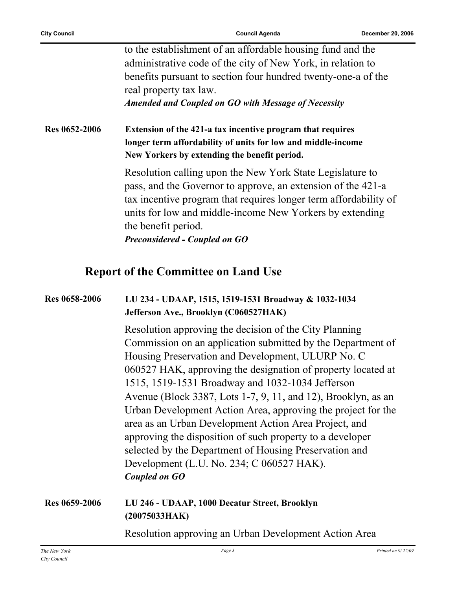| to the establishment of an affordable housing fund and the    |
|---------------------------------------------------------------|
| administrative code of the city of New York, in relation to   |
| benefits pursuant to section four hundred twenty-one-a of the |
| real property tax law.                                        |
|                                                               |

*Amended and Coupled on GO with Message of Necessity*

**Res 0652-2006 Extension of the 421-a tax incentive program that requires longer term affordability of units for low and middle-income New Yorkers by extending the benefit period.**

> Resolution calling upon the New York State Legislature to pass, and the Governor to approve, an extension of the 421-a tax incentive program that requires longer term affordability of units for low and middle-income New Yorkers by extending the benefit period.

*Preconsidered - Coupled on GO*

#### **Report of the Committee on Land Use**

#### **Res 0658-2006 LU 234 - UDAAP, 1515, 1519-1531 Broadway & 1032-1034 Jefferson Ave., Brooklyn (C060527HAK)**

Resolution approving the decision of the City Planning Commission on an application submitted by the Department of Housing Preservation and Development, ULURP No. C 060527 HAK, approving the designation of property located at 1515, 1519-1531 Broadway and 1032-1034 Jefferson Avenue (Block 3387, Lots 1-7, 9, 11, and 12), Brooklyn, as an Urban Development Action Area, approving the project for the area as an Urban Development Action Area Project, and approving the disposition of such property to a developer selected by the Department of Housing Preservation and Development (L.U. No. 234; C 060527 HAK). *Coupled on GO*

**Res 0659-2006 LU 246 - UDAAP, 1000 Decatur Street, Brooklyn (20075033HAK)**

Resolution approving an Urban Development Action Area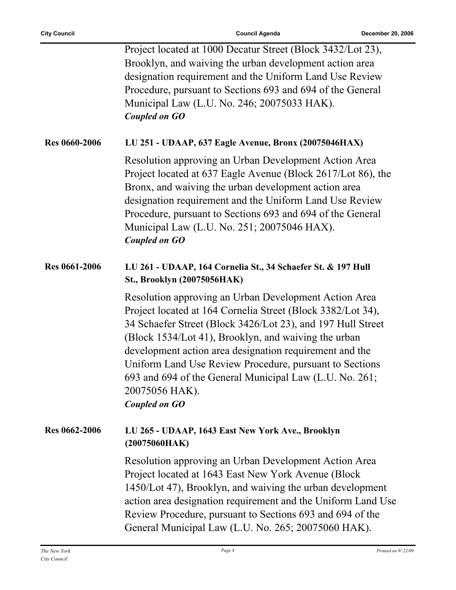|                      | Project located at 1000 Decatur Street (Block 3432/Lot 23),<br>Brooklyn, and waiving the urban development action area<br>designation requirement and the Uniform Land Use Review<br>Procedure, pursuant to Sections 693 and 694 of the General<br>Municipal Law (L.U. No. 246; 20075033 HAK).<br><b>Coupled on GO</b>                                                                                                                                                 |
|----------------------|------------------------------------------------------------------------------------------------------------------------------------------------------------------------------------------------------------------------------------------------------------------------------------------------------------------------------------------------------------------------------------------------------------------------------------------------------------------------|
| <b>Res 0660-2006</b> | LU 251 - UDAAP, 637 Eagle Avenue, Bronx (20075046HAX)                                                                                                                                                                                                                                                                                                                                                                                                                  |
|                      | Resolution approving an Urban Development Action Area<br>Project located at 637 Eagle Avenue (Block 2617/Lot 86), the<br>Bronx, and waiving the urban development action area<br>designation requirement and the Uniform Land Use Review<br>Procedure, pursuant to Sections 693 and 694 of the General<br>Municipal Law (L.U. No. 251; 20075046 HAX).<br><b>Coupled on GO</b>                                                                                          |
| <b>Res 0661-2006</b> | LU 261 - UDAAP, 164 Cornelia St., 34 Schaefer St. & 197 Hull<br>St., Brooklyn (20075056HAK)                                                                                                                                                                                                                                                                                                                                                                            |
|                      | Resolution approving an Urban Development Action Area<br>Project located at 164 Cornelia Street (Block 3382/Lot 34),<br>34 Schaefer Street (Block 3426/Lot 23), and 197 Hull Street<br>(Block 1534/Lot 41), Brooklyn, and waiving the urban<br>development action area designation requirement and the<br>Uniform Land Use Review Procedure, pursuant to Sections<br>693 and 694 of the General Municipal Law (L.U. No. 261;<br>20075056 HAK).<br><b>Coupled on GO</b> |
| Res 0662-2006        | LU 265 - UDAAP, 1643 East New York Ave., Brooklyn<br>(20075060HAK)                                                                                                                                                                                                                                                                                                                                                                                                     |
|                      | Resolution approving an Urban Development Action Area<br>Project located at 1643 East New York Avenue (Block<br>1450/Lot 47), Brooklyn, and waiving the urban development<br>action area designation requirement and the Uniform Land Use<br>Review Procedure, pursuant to Sections 693 and 694 of the<br>General Municipal Law (L.U. No. 265; 20075060 HAK).                                                                                                          |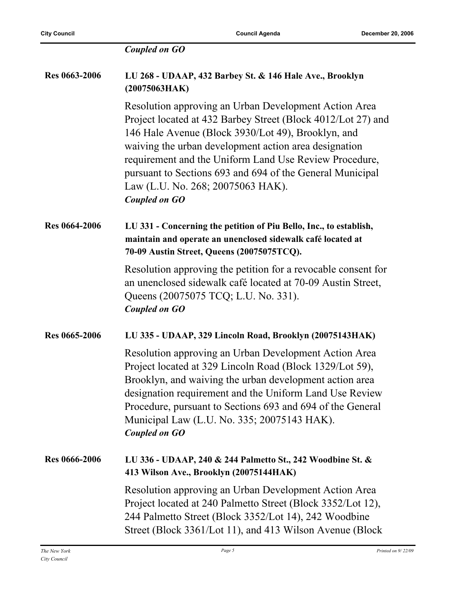|                      | <b>Coupled on GO</b>                                                                                                                                                                                                                                                                                                                                                                                                     |
|----------------------|--------------------------------------------------------------------------------------------------------------------------------------------------------------------------------------------------------------------------------------------------------------------------------------------------------------------------------------------------------------------------------------------------------------------------|
| <b>Res 0663-2006</b> | LU 268 - UDAAP, 432 Barbey St. & 146 Hale Ave., Brooklyn<br>(20075063HAK)                                                                                                                                                                                                                                                                                                                                                |
|                      | Resolution approving an Urban Development Action Area<br>Project located at 432 Barbey Street (Block 4012/Lot 27) and<br>146 Hale Avenue (Block 3930/Lot 49), Brooklyn, and<br>waiving the urban development action area designation<br>requirement and the Uniform Land Use Review Procedure,<br>pursuant to Sections 693 and 694 of the General Municipal<br>Law (L.U. No. 268; 20075063 HAK).<br><b>Coupled on GO</b> |
| <b>Res 0664-2006</b> | LU 331 - Concerning the petition of Piu Bello, Inc., to establish,<br>maintain and operate an unenclosed sidewalk café located at<br>70-09 Austin Street, Queens (20075075TCQ).                                                                                                                                                                                                                                          |
|                      | Resolution approving the petition for a revocable consent for<br>an unenclosed sidewalk café located at 70-09 Austin Street,<br>Queens (20075075 TCQ; L.U. No. 331).<br><b>Coupled on GO</b>                                                                                                                                                                                                                             |
| Res 0665-2006        | LU 335 - UDAAP, 329 Lincoln Road, Brooklyn (20075143HAK)                                                                                                                                                                                                                                                                                                                                                                 |
|                      | Resolution approving an Urban Development Action Area<br>Project located at 329 Lincoln Road (Block 1329/Lot 59),<br>Brooklyn, and waiving the urban development action area<br>designation requirement and the Uniform Land Use Review<br>Procedure, pursuant to Sections 693 and 694 of the General<br>Municipal Law (L.U. No. 335; 20075143 HAK).<br><b>Coupled on GO</b>                                             |
| <b>Res 0666-2006</b> | LU 336 - UDAAP, 240 & 244 Palmetto St., 242 Woodbine St. &<br>413 Wilson Ave., Brooklyn (20075144HAK)                                                                                                                                                                                                                                                                                                                    |
|                      | Resolution approving an Urban Development Action Area<br>Project located at 240 Palmetto Street (Block 3352/Lot 12),<br>244 Palmetto Street (Block 3352/Lot 14), 242 Woodbine<br>Street (Block 3361/Lot 11), and 413 Wilson Avenue (Block                                                                                                                                                                                |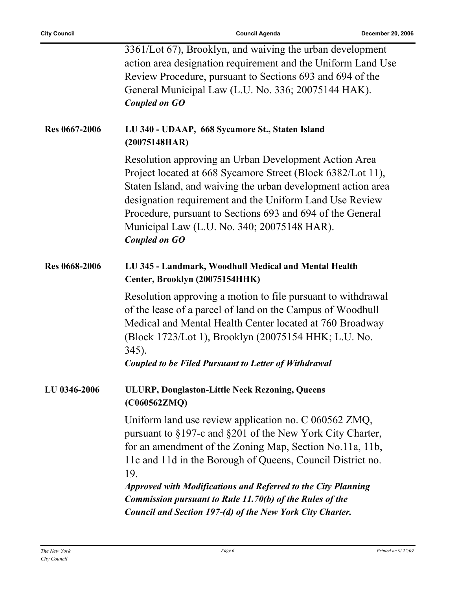|                      | 3361/Lot 67), Brooklyn, and waiving the urban development<br>action area designation requirement and the Uniform Land Use<br>Review Procedure, pursuant to Sections 693 and 694 of the<br>General Municipal Law (L.U. No. 336; 20075144 HAK).<br><b>Coupled on GO</b>                                                                                                                |
|----------------------|--------------------------------------------------------------------------------------------------------------------------------------------------------------------------------------------------------------------------------------------------------------------------------------------------------------------------------------------------------------------------------------|
| <b>Res 0667-2006</b> | LU 340 - UDAAP, 668 Sycamore St., Staten Island<br>(20075148HAR)                                                                                                                                                                                                                                                                                                                     |
|                      | Resolution approving an Urban Development Action Area<br>Project located at 668 Sycamore Street (Block 6382/Lot 11),<br>Staten Island, and waiving the urban development action area<br>designation requirement and the Uniform Land Use Review<br>Procedure, pursuant to Sections 693 and 694 of the General<br>Municipal Law (L.U. No. 340; 20075148 HAR).<br><b>Coupled on GO</b> |
| <b>Res 0668-2006</b> | LU 345 - Landmark, Woodhull Medical and Mental Health<br>Center, Brooklyn (20075154HHK)                                                                                                                                                                                                                                                                                              |
|                      | Resolution approving a motion to file pursuant to withdrawal<br>of the lease of a parcel of land on the Campus of Woodhull<br>Medical and Mental Health Center located at 760 Broadway<br>(Block 1723/Lot 1), Brooklyn (20075154 HHK; L.U. No.<br>$345$ ).<br><b>Coupled to be Filed Pursuant to Letter of Withdrawal</b>                                                            |
| LU 0346-2006         | <b>ULURP, Douglaston-Little Neck Rezoning, Queens</b><br>(C060562ZMQ)                                                                                                                                                                                                                                                                                                                |
|                      | Uniform land use review application no. C 060562 ZMQ,<br>pursuant to §197-c and §201 of the New York City Charter,<br>for an amendment of the Zoning Map, Section No.11a, 11b,<br>11c and 11d in the Borough of Queens, Council District no.<br>19.                                                                                                                                  |
|                      | <b>Approved with Modifications and Referred to the City Planning</b><br><b>Commission pursuant to Rule 11.70(b) of the Rules of the</b>                                                                                                                                                                                                                                              |
|                      | Council and Section 197-(d) of the New York City Charter.                                                                                                                                                                                                                                                                                                                            |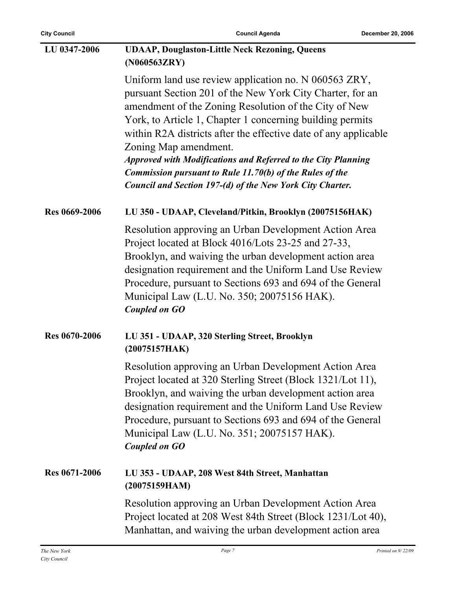| <b>City Council</b>  | <b>Council Agenda</b>                                                                                                                                                                                                                                                                                                                                                                                                                                                                                                                        | December 20, 2006 |
|----------------------|----------------------------------------------------------------------------------------------------------------------------------------------------------------------------------------------------------------------------------------------------------------------------------------------------------------------------------------------------------------------------------------------------------------------------------------------------------------------------------------------------------------------------------------------|-------------------|
| LU 0347-2006         | <b>UDAAP, Douglaston-Little Neck Rezoning, Queens</b><br>(N060563ZRY)                                                                                                                                                                                                                                                                                                                                                                                                                                                                        |                   |
|                      | Uniform land use review application no. N 060563 ZRY,<br>pursuant Section 201 of the New York City Charter, for an<br>amendment of the Zoning Resolution of the City of New<br>York, to Article 1, Chapter 1 concerning building permits<br>within R2A districts after the effective date of any applicable<br>Zoning Map amendment.<br><b>Approved with Modifications and Referred to the City Planning</b><br><b>Commission pursuant to Rule 11.70(b) of the Rules of the</b><br>Council and Section 197-(d) of the New York City Charter. |                   |
| <b>Res 0669-2006</b> | LU 350 - UDAAP, Cleveland/Pitkin, Brooklyn (20075156HAK)                                                                                                                                                                                                                                                                                                                                                                                                                                                                                     |                   |
|                      | Resolution approving an Urban Development Action Area<br>Project located at Block 4016/Lots 23-25 and 27-33,<br>Brooklyn, and waiving the urban development action area<br>designation requirement and the Uniform Land Use Review<br>Procedure, pursuant to Sections 693 and 694 of the General<br>Municipal Law (L.U. No. 350; 20075156 HAK).<br><b>Coupled on GO</b>                                                                                                                                                                      |                   |
| <b>Res 0670-2006</b> | LU 351 - UDAAP, 320 Sterling Street, Brooklyn<br>(20075157HAK)                                                                                                                                                                                                                                                                                                                                                                                                                                                                               |                   |
|                      | Resolution approving an Urban Development Action Area<br>Project located at 320 Sterling Street (Block 1321/Lot 11),<br>Brooklyn, and waiving the urban development action area<br>designation requirement and the Uniform Land Use Review<br>Procedure, pursuant to Sections 693 and 694 of the General<br>Municipal Law (L.U. No. 351; 20075157 HAK).<br><b>Coupled on GO</b>                                                                                                                                                              |                   |
| Res 0671-2006        | LU 353 - UDAAP, 208 West 84th Street, Manhattan<br>(20075159HAM)                                                                                                                                                                                                                                                                                                                                                                                                                                                                             |                   |
|                      | Resolution approving an Urban Development Action Area<br>Project located at 208 West 84th Street (Block 1231/Lot 40),<br>Manhattan, and waiving the urban development action area                                                                                                                                                                                                                                                                                                                                                            |                   |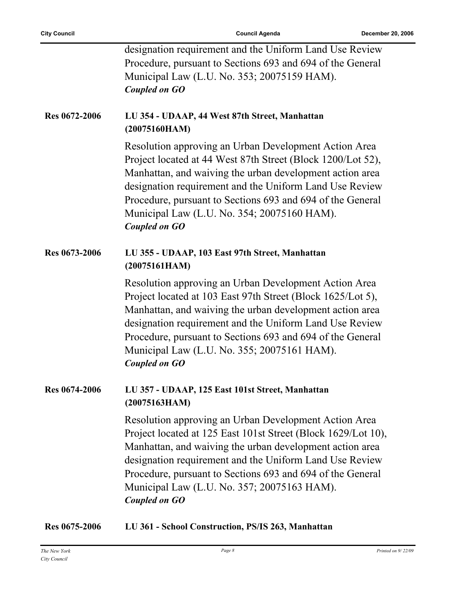|               | designation requirement and the Uniform Land Use Review<br>Procedure, pursuant to Sections 693 and 694 of the General<br>Municipal Law (L.U. No. 353; 20075159 HAM).<br><b>Coupled on GO</b>                                                                                                                                                                                       |
|---------------|------------------------------------------------------------------------------------------------------------------------------------------------------------------------------------------------------------------------------------------------------------------------------------------------------------------------------------------------------------------------------------|
| Res 0672-2006 | LU 354 - UDAAP, 44 West 87th Street, Manhattan<br>(20075160HAM)                                                                                                                                                                                                                                                                                                                    |
|               | Resolution approving an Urban Development Action Area<br>Project located at 44 West 87th Street (Block 1200/Lot 52),<br>Manhattan, and waiving the urban development action area<br>designation requirement and the Uniform Land Use Review<br>Procedure, pursuant to Sections 693 and 694 of the General<br>Municipal Law (L.U. No. 354; 20075160 HAM).<br><b>Coupled on GO</b>   |
| Res 0673-2006 | LU 355 - UDAAP, 103 East 97th Street, Manhattan<br>(20075161HAM)                                                                                                                                                                                                                                                                                                                   |
|               | Resolution approving an Urban Development Action Area<br>Project located at 103 East 97th Street (Block 1625/Lot 5),<br>Manhattan, and waiving the urban development action area<br>designation requirement and the Uniform Land Use Review<br>Procedure, pursuant to Sections 693 and 694 of the General<br>Municipal Law (L.U. No. 355; 20075161 HAM).<br><b>Coupled on GO</b>   |
| Res 0674-2006 | LU 357 - UDAAP, 125 East 101st Street, Manhattan<br>(20075163HAM)                                                                                                                                                                                                                                                                                                                  |
|               | Resolution approving an Urban Development Action Area<br>Project located at 125 East 101st Street (Block 1629/Lot 10),<br>Manhattan, and waiving the urban development action area<br>designation requirement and the Uniform Land Use Review<br>Procedure, pursuant to Sections 693 and 694 of the General<br>Municipal Law (L.U. No. 357; 20075163 HAM).<br><b>Coupled on GO</b> |

**Res 0675-2006 LU 361 - School Construction, PS/IS 263, Manhattan**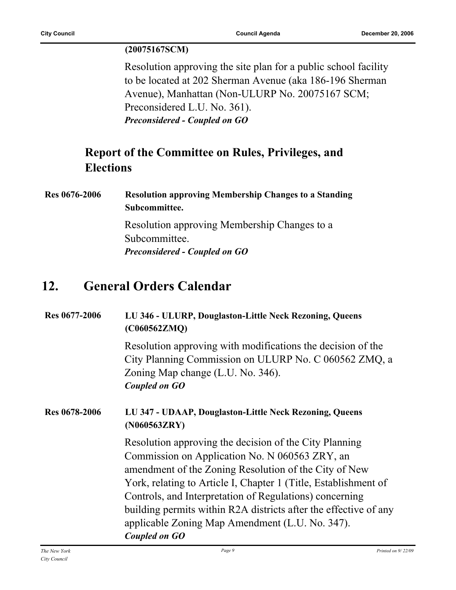#### **(20075167SCM)**

Resolution approving the site plan for a public school facility to be located at 202 Sherman Avenue (aka 186-196 Sherman Avenue), Manhattan (Non-ULURP No. 20075167 SCM; Preconsidered L.U. No. 361). *Preconsidered - Coupled on GO*

### **Report of the Committee on Rules, Privileges, and Elections**

**Res 0676-2006 Resolution approving Membership Changes to a Standing Subcommittee.**

> Resolution approving Membership Changes to a Subcommittee. *Preconsidered - Coupled on GO*

## **12. General Orders Calendar**

| Res 0677-2006 | LU 346 - ULURP, Douglaston-Little Neck Rezoning, Queens<br>(C060562ZMQ)                                                                                                                                                                                                                                                                                                                                                                 |  |
|---------------|-----------------------------------------------------------------------------------------------------------------------------------------------------------------------------------------------------------------------------------------------------------------------------------------------------------------------------------------------------------------------------------------------------------------------------------------|--|
|               | Resolution approving with modifications the decision of the<br>City Planning Commission on ULURP No. C 060562 ZMQ, a<br>Zoning Map change (L.U. No. 346).<br><b>Coupled on GO</b>                                                                                                                                                                                                                                                       |  |
| Res 0678-2006 | LU 347 - UDAAP, Douglaston-Little Neck Rezoning, Queens<br>(N060563ZRY)                                                                                                                                                                                                                                                                                                                                                                 |  |
|               | Resolution approving the decision of the City Planning<br>Commission on Application No. N 060563 ZRY, an<br>amendment of the Zoning Resolution of the City of New<br>York, relating to Article I, Chapter 1 (Title, Establishment of<br>Controls, and Interpretation of Regulations) concerning<br>building permits within R2A districts after the effective of any<br>applicable Zoning Map Amendment (L.U. No. 347).<br>Coupled on GO |  |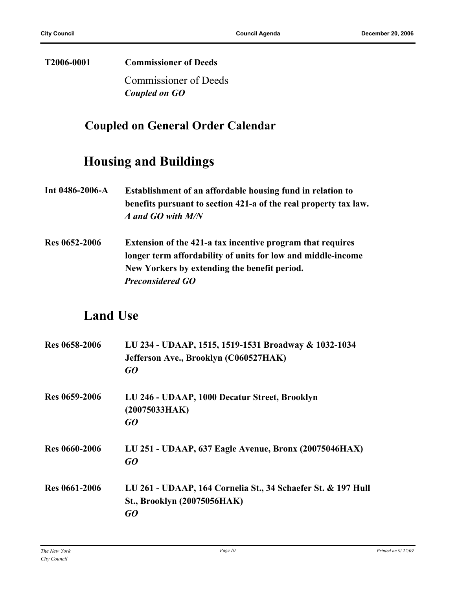#### **T2006-0001 Commissioner of Deeds**

Commissioner of Deeds *Coupled on GO*

#### **Coupled on General Order Calendar**

## **Housing and Buildings**

- **Int 0486-2006-A Establishment of an affordable housing fund in relation to benefits pursuant to section 421-a of the real property tax law.** *A and GO with M/N*
- **Res 0652-2006 Extension of the 421-a tax incentive program that requires longer term affordability of units for low and middle-income New Yorkers by extending the benefit period.** *Preconsidered GO*

#### **Land Use**

| Res 0658-2006        | LU 234 - UDAAP, 1515, 1519-1531 Broadway & 1032-1034<br>Jefferson Ave., Brooklyn (C060527HAK)<br>GQ |
|----------------------|-----------------------------------------------------------------------------------------------------|
| Res 0659-2006        | LU 246 - UDAAP, 1000 Decatur Street, Brooklyn<br>(20075033HAK)<br>GO                                |
| <b>Res 0660-2006</b> | LU 251 - UDAAP, 637 Eagle Avenue, Bronx (20075046HAX)<br>GQ                                         |
| Res 0661-2006        | LU 261 - UDAAP, 164 Cornelia St., 34 Schaefer St. & 197 Hull<br>St., Brooklyn (20075056HAK)<br>GO   |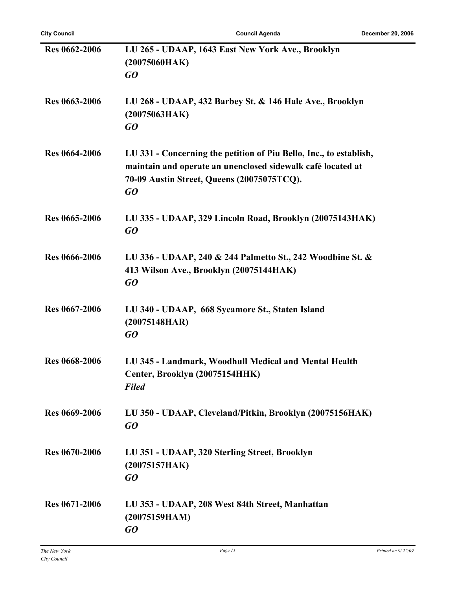| <b>Res 0662-2006</b> | LU 265 - UDAAP, 1643 East New York Ave., Brooklyn<br>(20075060HAK)<br>GQ                                                                                                              |
|----------------------|---------------------------------------------------------------------------------------------------------------------------------------------------------------------------------------|
| <b>Res 0663-2006</b> | LU 268 - UDAAP, 432 Barbey St. & 146 Hale Ave., Brooklyn<br>(20075063HAK)<br>GQ                                                                                                       |
| <b>Res 0664-2006</b> | LU 331 - Concerning the petition of Piu Bello, Inc., to establish,<br>maintain and operate an unenclosed sidewalk café located at<br>70-09 Austin Street, Queens (20075075TCQ).<br>GO |
| Res 0665-2006        | LU 335 - UDAAP, 329 Lincoln Road, Brooklyn (20075143HAK)<br>GO                                                                                                                        |
| <b>Res 0666-2006</b> | LU 336 - UDAAP, 240 & 244 Palmetto St., 242 Woodbine St. &<br>413 Wilson Ave., Brooklyn (20075144HAK)<br>GQ                                                                           |
| Res 0667-2006        | LU 340 - UDAAP, 668 Sycamore St., Staten Island<br>(20075148HAR)<br>GO                                                                                                                |
| <b>Res 0668-2006</b> | LU 345 - Landmark, Woodhull Medical and Mental Health<br>Center, Brooklyn (20075154HHK)<br><b>Filed</b>                                                                               |
| Res 0669-2006        | LU 350 - UDAAP, Cleveland/Pitkin, Brooklyn (20075156HAK)<br>GO                                                                                                                        |
| <b>Res 0670-2006</b> | LU 351 - UDAAP, 320 Sterling Street, Brooklyn<br>(20075157HAK)<br>GO                                                                                                                  |
| <b>Res 0671-2006</b> | LU 353 - UDAAP, 208 West 84th Street, Manhattan<br>(20075159HAM)<br>GO                                                                                                                |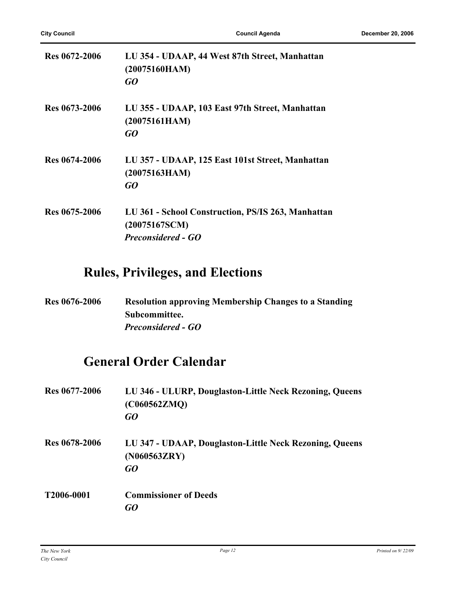| <b>Res 0672-2006</b> | LU 354 - UDAAP, 44 West 87th Street, Manhattan<br>(20075160HAM)<br>GO                            |
|----------------------|--------------------------------------------------------------------------------------------------|
| Res 0673-2006        | LU 355 - UDAAP, 103 East 97th Street, Manhattan<br>(20075161HAM)<br>GO                           |
| <b>Res 0674-2006</b> | LU 357 - UDAAP, 125 East 101st Street, Manhattan<br>(20075163HAM)<br>GO                          |
| Res 0675-2006        | LU 361 - School Construction, PS/IS 263, Manhattan<br>(20075167SCM)<br><b>Preconsidered - GO</b> |

## **Rules, Privileges, and Elections**

| <b>Res 0676-2006</b> | <b>Resolution approving Membership Changes to a Standing</b> |
|----------------------|--------------------------------------------------------------|
|                      | Subcommittee.                                                |
|                      | <b>Preconsidered - GO</b>                                    |

## **General Order Calendar**

| Res 0677-2006        | LU 346 - ULURP, Douglaston-Little Neck Rezoning, Queens<br>(C060562ZMQ)<br>GO |
|----------------------|-------------------------------------------------------------------------------|
| <b>Res 0678-2006</b> | LU 347 - UDAAP, Douglaston-Little Neck Rezoning, Queens<br>(N060563ZRY)<br>GO |
| T2006-0001           | <b>Commissioner of Deeds</b><br>G0                                            |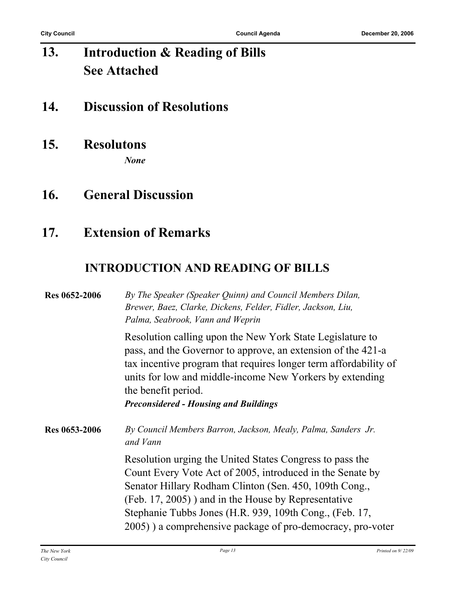#### **Introduction & Reading of Bills See Attached 13.**

## **14. Discussion of Resolutions**

**15. Resolutons**

*None*

**16. General Discussion**

## **17. Extension of Remarks**

#### **INTRODUCTION AND READING OF BILLS**

| Res 0652-2006 | By The Speaker (Speaker Quinn) and Council Members Dilan,<br>Brewer, Baez, Clarke, Dickens, Felder, Fidler, Jackson, Liu,<br>Palma, Seabrook, Vann and Weprin                                                                                                                                                                                                 |
|---------------|---------------------------------------------------------------------------------------------------------------------------------------------------------------------------------------------------------------------------------------------------------------------------------------------------------------------------------------------------------------|
|               | Resolution calling upon the New York State Legislature to<br>pass, and the Governor to approve, an extension of the 421-a<br>tax incentive program that requires longer term affordability of<br>units for low and middle-income New Yorkers by extending<br>the benefit period.<br><b>Preconsidered - Housing and Buildings</b>                              |
| Res 0653-2006 | By Council Members Barron, Jackson, Mealy, Palma, Sanders Jr.<br>and Vann                                                                                                                                                                                                                                                                                     |
|               | Resolution urging the United States Congress to pass the<br>Count Every Vote Act of 2005, introduced in the Senate by<br>Senator Hillary Rodham Clinton (Sen. 450, 109th Cong.,<br>(Feb. 17, 2005) and in the House by Representative<br>Stephanie Tubbs Jones (H.R. 939, 109th Cong., (Feb. 17,<br>2005) a comprehensive package of pro-democracy, pro-voter |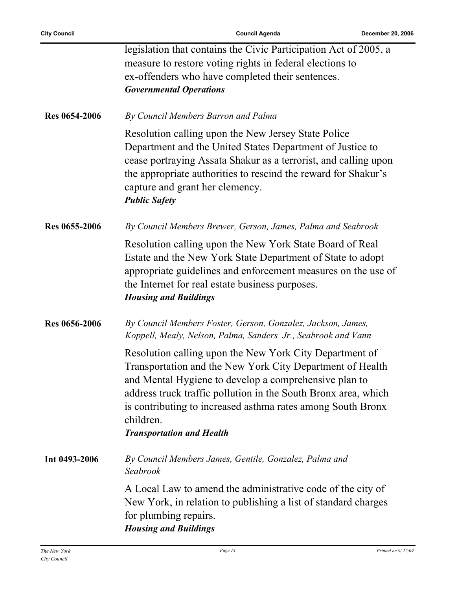|                      | legislation that contains the Civic Participation Act of 2005, a<br>measure to restore voting rights in federal elections to<br>ex-offenders who have completed their sentences.<br><b>Governmental Operations</b>                                                                                                                                              |
|----------------------|-----------------------------------------------------------------------------------------------------------------------------------------------------------------------------------------------------------------------------------------------------------------------------------------------------------------------------------------------------------------|
| <b>Res 0654-2006</b> | By Council Members Barron and Palma                                                                                                                                                                                                                                                                                                                             |
|                      | Resolution calling upon the New Jersey State Police<br>Department and the United States Department of Justice to<br>cease portraying Assata Shakur as a terrorist, and calling upon<br>the appropriate authorities to rescind the reward for Shakur's<br>capture and grant her clemency.<br><b>Public Safety</b>                                                |
| Res 0655-2006        | By Council Members Brewer, Gerson, James, Palma and Seabrook                                                                                                                                                                                                                                                                                                    |
|                      | Resolution calling upon the New York State Board of Real<br>Estate and the New York State Department of State to adopt<br>appropriate guidelines and enforcement measures on the use of<br>the Internet for real estate business purposes.<br><b>Housing and Buildings</b>                                                                                      |
| Res 0656-2006        | By Council Members Foster, Gerson, Gonzalez, Jackson, James,<br>Koppell, Mealy, Nelson, Palma, Sanders Jr., Seabrook and Vann                                                                                                                                                                                                                                   |
|                      | Resolution calling upon the New York City Department of<br>Transportation and the New York City Department of Health<br>and Mental Hygiene to develop a comprehensive plan to<br>address truck traffic pollution in the South Bronx area, which<br>is contributing to increased asthma rates among South Bronx<br>children.<br><b>Transportation and Health</b> |
|                      |                                                                                                                                                                                                                                                                                                                                                                 |
| Int 0493-2006        | By Council Members James, Gentile, Gonzalez, Palma and<br>Seabrook                                                                                                                                                                                                                                                                                              |
|                      | A Local Law to amend the administrative code of the city of<br>New York, in relation to publishing a list of standard charges<br>for plumbing repairs.<br><b>Housing and Buildings</b>                                                                                                                                                                          |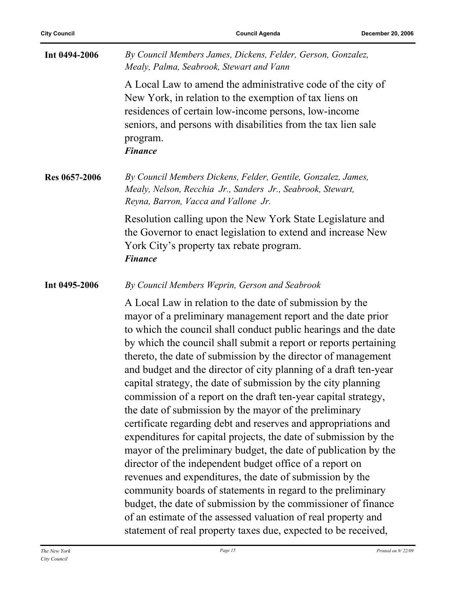| Int 0494-2006 | By Council Members James, Dickens, Felder, Gerson, Gonzalez,<br>Mealy, Palma, Seabrook, Stewart and Vann                                                                                                                                                                                                                                                                                                                                                                                                                                                                                                                                                                                                                                                                                                                                                                                                                                                                                                                                                                                                                                                                                             |
|---------------|------------------------------------------------------------------------------------------------------------------------------------------------------------------------------------------------------------------------------------------------------------------------------------------------------------------------------------------------------------------------------------------------------------------------------------------------------------------------------------------------------------------------------------------------------------------------------------------------------------------------------------------------------------------------------------------------------------------------------------------------------------------------------------------------------------------------------------------------------------------------------------------------------------------------------------------------------------------------------------------------------------------------------------------------------------------------------------------------------------------------------------------------------------------------------------------------------|
|               | A Local Law to amend the administrative code of the city of<br>New York, in relation to the exemption of tax liens on<br>residences of certain low-income persons, low-income<br>seniors, and persons with disabilities from the tax lien sale<br>program.<br><b>Finance</b>                                                                                                                                                                                                                                                                                                                                                                                                                                                                                                                                                                                                                                                                                                                                                                                                                                                                                                                         |
| Res 0657-2006 | By Council Members Dickens, Felder, Gentile, Gonzalez, James,<br>Mealy, Nelson, Recchia Jr., Sanders Jr., Seabrook, Stewart,<br>Reyna, Barron, Vacca and Vallone Jr.                                                                                                                                                                                                                                                                                                                                                                                                                                                                                                                                                                                                                                                                                                                                                                                                                                                                                                                                                                                                                                 |
|               | Resolution calling upon the New York State Legislature and<br>the Governor to enact legislation to extend and increase New<br>York City's property tax rebate program.<br><b>Finance</b>                                                                                                                                                                                                                                                                                                                                                                                                                                                                                                                                                                                                                                                                                                                                                                                                                                                                                                                                                                                                             |
| Int 0495-2006 | By Council Members Weprin, Gerson and Seabrook                                                                                                                                                                                                                                                                                                                                                                                                                                                                                                                                                                                                                                                                                                                                                                                                                                                                                                                                                                                                                                                                                                                                                       |
|               | A Local Law in relation to the date of submission by the<br>mayor of a preliminary management report and the date prior<br>to which the council shall conduct public hearings and the date<br>by which the council shall submit a report or reports pertaining<br>thereto, the date of submission by the director of management<br>and budget and the director of city planning of a draft ten-year<br>capital strategy, the date of submission by the city planning<br>commission of a report on the draft ten-year capital strategy,<br>the date of submission by the mayor of the preliminary<br>certificate regarding debt and reserves and appropriations and<br>expenditures for capital projects, the date of submission by the<br>mayor of the preliminary budget, the date of publication by the<br>director of the independent budget office of a report on<br>revenues and expenditures, the date of submission by the<br>community boards of statements in regard to the preliminary<br>budget, the date of submission by the commissioner of finance<br>of an estimate of the assessed valuation of real property and<br>statement of real property taxes due, expected to be received, |